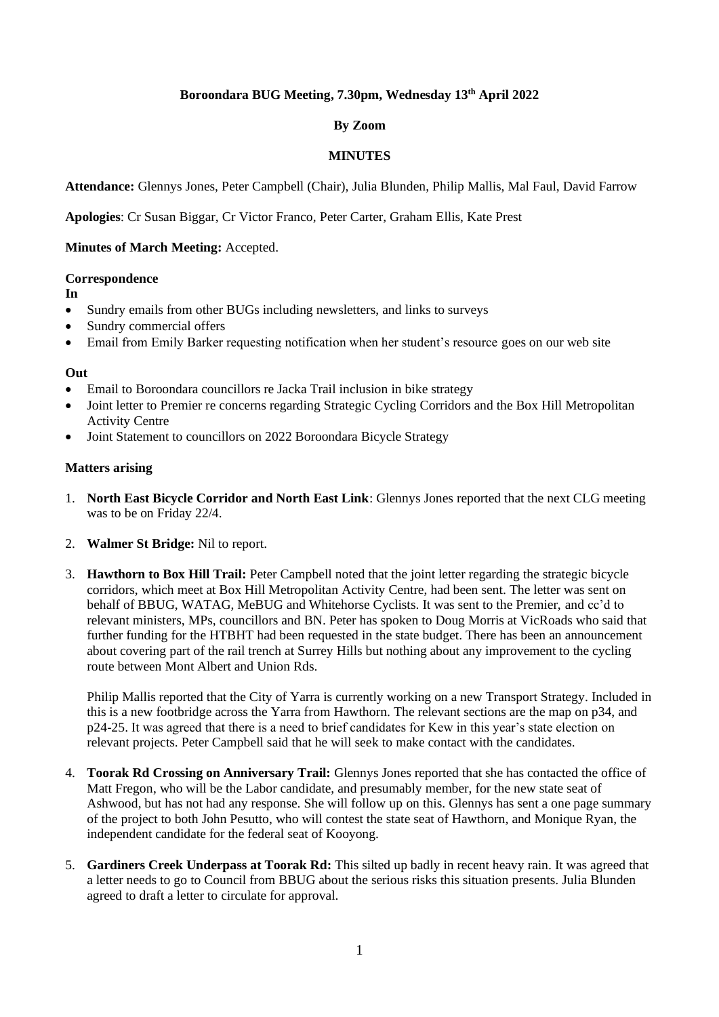# **Boroondara BUG Meeting, 7.30pm, Wednesday 13th April 2022**

# **By Zoom**

## **MINUTES**

**Attendance:** Glennys Jones, Peter Campbell (Chair), Julia Blunden, Philip Mallis, Mal Faul, David Farrow

**Apologies**: Cr Susan Biggar, Cr Victor Franco, Peter Carter, Graham Ellis, Kate Prest

### **Minutes of March Meeting:** Accepted.

#### **Correspondence**

- **In**
- Sundry emails from other BUGs including newsletters, and links to surveys
- Sundry commercial offers
- Email from Emily Barker requesting notification when her student's resource goes on our web site

### **Out**

- Email to Boroondara councillors re Jacka Trail inclusion in bike strategy
- Joint letter to Premier re concerns regarding Strategic Cycling Corridors and the Box Hill Metropolitan Activity Centre
- Joint Statement to councillors on 2022 Boroondara Bicycle Strategy

#### **Matters arising**

- 1. **North East Bicycle Corridor and North East Link**: Glennys Jones reported that the next CLG meeting was to be on Friday 22/4.
- 2. **Walmer St Bridge:** Nil to report.
- 3. **Hawthorn to Box Hill Trail:** Peter Campbell noted that the joint letter regarding the strategic bicycle corridors, which meet at Box Hill Metropolitan Activity Centre, had been sent. The letter was sent on behalf of BBUG, WATAG, MeBUG and Whitehorse Cyclists. It was sent to the Premier, and cc'd to relevant ministers, MPs, councillors and BN. Peter has spoken to Doug Morris at VicRoads who said that further funding for the HTBHT had been requested in the state budget. There has been an announcement about covering part of the rail trench at Surrey Hills but nothing about any improvement to the cycling route between Mont Albert and Union Rds.

Philip Mallis reported that the City of Yarra is currently working on a new Transport Strategy. Included in this is a new footbridge across the Yarra from Hawthorn. The relevant sections are the map on p34, and p24-25. It was agreed that there is a need to brief candidates for Kew in this year's state election on relevant projects. Peter Campbell said that he will seek to make contact with the candidates.

- 4. **Toorak Rd Crossing on Anniversary Trail:** Glennys Jones reported that she has contacted the office of Matt Fregon, who will be the Labor candidate, and presumably member, for the new state seat of Ashwood, but has not had any response. She will follow up on this. Glennys has sent a one page summary of the project to both John Pesutto, who will contest the state seat of Hawthorn, and Monique Ryan, the independent candidate for the federal seat of Kooyong.
- 5. **Gardiners Creek Underpass at Toorak Rd:** This silted up badly in recent heavy rain. It was agreed that a letter needs to go to Council from BBUG about the serious risks this situation presents. Julia Blunden agreed to draft a letter to circulate for approval.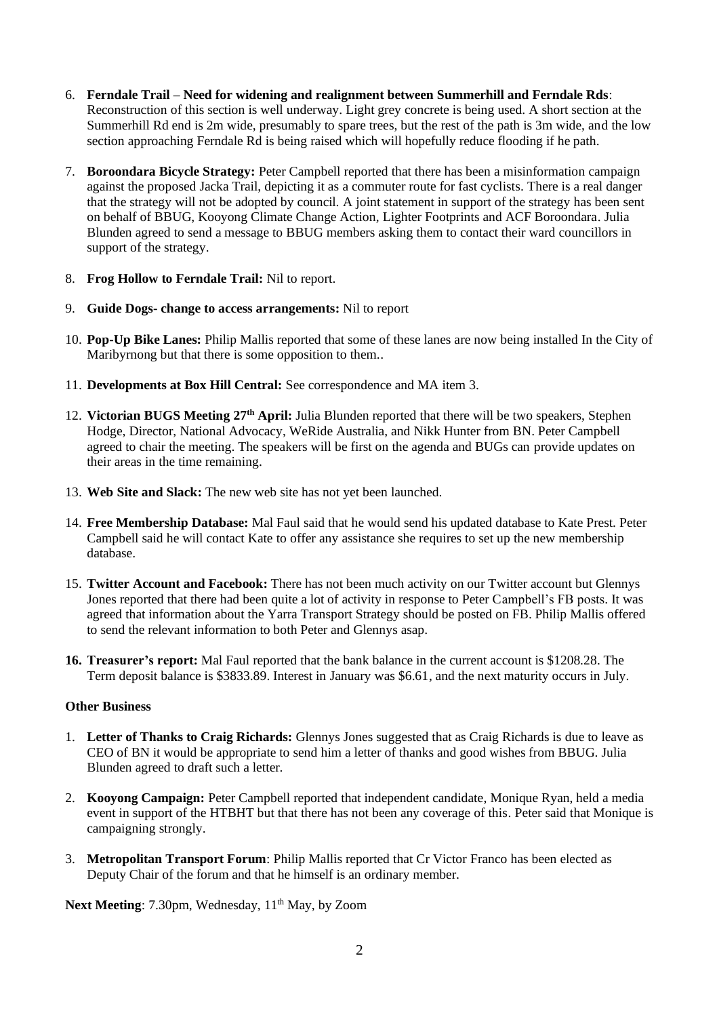- 6. **Ferndale Trail – Need for widening and realignment between Summerhill and Ferndale Rds**: Reconstruction of this section is well underway. Light grey concrete is being used. A short section at the Summerhill Rd end is 2m wide, presumably to spare trees, but the rest of the path is 3m wide, and the low section approaching Ferndale Rd is being raised which will hopefully reduce flooding if he path.
- 7. **Boroondara Bicycle Strategy:** Peter Campbell reported that there has been a misinformation campaign against the proposed Jacka Trail, depicting it as a commuter route for fast cyclists. There is a real danger that the strategy will not be adopted by council. A joint statement in support of the strategy has been sent on behalf of BBUG, Kooyong Climate Change Action, Lighter Footprints and ACF Boroondara. Julia Blunden agreed to send a message to BBUG members asking them to contact their ward councillors in support of the strategy.
- 8. **Frog Hollow to Ferndale Trail:** Nil to report.
- 9. **Guide Dogs- change to access arrangements:** Nil to report
- 10. **Pop-Up Bike Lanes:** Philip Mallis reported that some of these lanes are now being installed In the City of Maribyrnong but that there is some opposition to them..
- 11. **Developments at Box Hill Central:** See correspondence and MA item 3.
- 12. **Victorian BUGS Meeting 27th April:** Julia Blunden reported that there will be two speakers, Stephen Hodge, Director, National Advocacy, WeRide Australia, and Nikk Hunter from BN. Peter Campbell agreed to chair the meeting. The speakers will be first on the agenda and BUGs can provide updates on their areas in the time remaining.
- 13. **Web Site and Slack:** The new web site has not yet been launched.
- 14. **Free Membership Database:** Mal Faul said that he would send his updated database to Kate Prest. Peter Campbell said he will contact Kate to offer any assistance she requires to set up the new membership database.
- 15. **Twitter Account and Facebook:** There has not been much activity on our Twitter account but Glennys Jones reported that there had been quite a lot of activity in response to Peter Campbell's FB posts. It was agreed that information about the Yarra Transport Strategy should be posted on FB. Philip Mallis offered to send the relevant information to both Peter and Glennys asap.
- **16. Treasurer's report:** Mal Faul reported that the bank balance in the current account is \$1208.28. The Term deposit balance is \$3833.89. Interest in January was \$6.61, and the next maturity occurs in July.

## **Other Business**

- 1. **Letter of Thanks to Craig Richards:** Glennys Jones suggested that as Craig Richards is due to leave as CEO of BN it would be appropriate to send him a letter of thanks and good wishes from BBUG. Julia Blunden agreed to draft such a letter.
- 2. **Kooyong Campaign:** Peter Campbell reported that independent candidate, Monique Ryan, held a media event in support of the HTBHT but that there has not been any coverage of this. Peter said that Monique is campaigning strongly.
- 3. **Metropolitan Transport Forum**: Philip Mallis reported that Cr Victor Franco has been elected as Deputy Chair of the forum and that he himself is an ordinary member.

Next Meeting: 7.30pm, Wednesday, 11<sup>th</sup> May, by Zoom